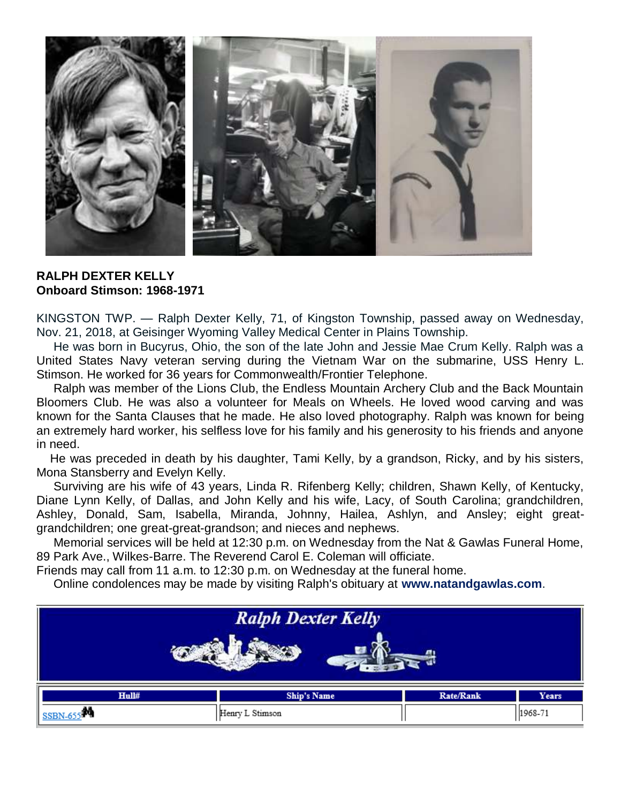

**RALPH DEXTER KELLY Onboard Stimson: 1968-1971**

KINGSTON TWP. — Ralph Dexter Kelly, 71, of Kingston Township, passed away on Wednesday, Nov. 21, 2018, at Geisinger Wyoming Valley Medical Center in Plains Township.

 He was born in Bucyrus, Ohio, the son of the late John and Jessie Mae Crum Kelly. Ralph was a United States Navy veteran serving during the Vietnam War on the submarine, USS Henry L. Stimson. He worked for 36 years for Commonwealth/Frontier Telephone.

 Ralph was member of the Lions Club, the Endless Mountain Archery Club and the Back Mountain Bloomers Club. He was also a volunteer for Meals on Wheels. He loved wood carving and was known for the Santa Clauses that he made. He also loved photography. Ralph was known for being an extremely hard worker, his selfless love for his family and his generosity to his friends and anyone in need.

 He was preceded in death by his daughter, Tami Kelly, by a grandson, Ricky, and by his sisters, Mona Stansberry and Evelyn Kelly.

 Surviving are his wife of 43 years, Linda R. Rifenberg Kelly; children, Shawn Kelly, of Kentucky, Diane Lynn Kelly, of Dallas, and John Kelly and his wife, Lacy, of South Carolina; grandchildren, Ashley, Donald, Sam, Isabella, Miranda, Johnny, Hailea, Ashlyn, and Ansley; eight greatgrandchildren; one great-great-grandson; and nieces and nephews.

 Memorial services will be held at 12:30 p.m. on Wednesday from the Nat & Gawlas Funeral Home, 89 Park Ave., Wilkes-Barre. The Reverend Carol E. Coleman will officiate.

Friends may call from 11 a.m. to 12:30 p.m. on Wednesday at the funeral home.

Online condolences may be made by visiting Ralph's obituary at **[www.natandgawlas.com](http://www.natandgawlas.com/)**.

| <b>Ralph Dexter Kelly</b> |                    |                  |              |  |
|---------------------------|--------------------|------------------|--------------|--|
|                           |                    |                  |              |  |
|                           |                    |                  |              |  |
| Hull#                     | <b>Ship's Name</b> | <b>Rate/Rank</b> | <b>Years</b> |  |
| SSBN-655                  | Henry L Stimson    |                  | 1968-71      |  |